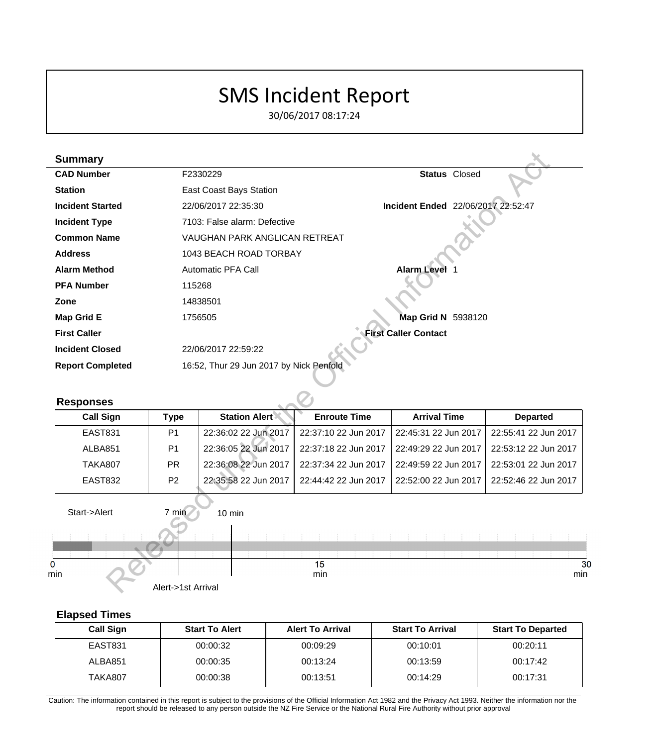# SMS Incident Report

30/06/2017 08:17:24

| <b>Summary</b>          |                    |                                         |                      |                             |                                    |
|-------------------------|--------------------|-----------------------------------------|----------------------|-----------------------------|------------------------------------|
| <b>CAD Number</b>       |                    | F2330229                                |                      | <b>Status Closed</b>        |                                    |
| <b>Station</b>          |                    | East Coast Bays Station                 |                      |                             |                                    |
| <b>Incident Started</b> |                    | 22/06/2017 22:35:30                     |                      |                             | Incident Ended 22/06/2017 22:52:47 |
| <b>Incident Type</b>    |                    | 7103: False alarm: Defective            |                      |                             |                                    |
| <b>Common Name</b>      |                    | <b>VAUGHAN PARK ANGLICAN RETREAT</b>    |                      |                             |                                    |
| <b>Address</b>          |                    | 1043 BEACH ROAD TORBAY                  |                      |                             |                                    |
| <b>Alarm Method</b>     |                    | <b>Automatic PFA Call</b>               |                      | Alarm Level 1               |                                    |
| <b>PFA Number</b>       | 115268             |                                         |                      |                             |                                    |
| Zone                    |                    | 14838501                                |                      |                             |                                    |
| <b>Map Grid E</b>       |                    | 1756505                                 |                      | Map Grid N 5938120          |                                    |
| <b>First Caller</b>     |                    |                                         |                      | <b>First Caller Contact</b> |                                    |
| <b>Incident Closed</b>  |                    | 22/06/2017 22:59:22                     |                      |                             |                                    |
| <b>Report Completed</b> |                    | 16:52, Thur 29 Jun 2017 by Nick Penfold |                      |                             |                                    |
|                         |                    |                                         |                      |                             |                                    |
| <b>Responses</b>        |                    |                                         |                      |                             |                                    |
| <b>Call Sign</b>        | <b>Type</b>        | <b>Station Alert</b>                    | <b>Enroute Time</b>  | <b>Arrival Time</b>         | <b>Departed</b>                    |
| <b>EAST831</b>          | P <sub>1</sub>     | 22:36:02 22 Jun 2017                    | 22:37:10 22 Jun 2017 | 22:45:31 22 Jun 2017        | 22:55:41 22 Jun 2017               |
| ALBA851                 | P <sub>1</sub>     | 22:36:05 22 Jun 2017                    | 22:37:18 22 Jun 2017 | 22:49:29 22 Jun 2017        | 22:53:12 22 Jun 2017               |
| <b>TAKA807</b>          | PR.                | 22:36:08 22 Jun 2017                    | 22:37:34 22 Jun 2017 | 22:49:59 22 Jun 2017        | 22:53:01 22 Jun 2017               |
| <b>EAST832</b>          | P <sub>2</sub>     | 22:35:58 22 Jun 2017                    | 22:44:42 22 Jun 2017 | 22:52:00 22 Jun 2017        | 22:52:46 22 Jun 2017               |
| Start->Alert            | 7 min              | 10 min                                  |                      |                             |                                    |
|                         |                    |                                         |                      |                             |                                    |
|                         |                    |                                         |                      |                             |                                    |
| nin                     |                    |                                         | 15<br>min            |                             | mir                                |
|                         | Alert->1st Arrival |                                         |                      |                             |                                    |

#### **Responses**

| <b>Call Sign</b> | Type           | <b>Station Alert</b> | <b>Enroute Time</b>  | <b>Arrival Time</b>   | <b>Departed</b>      |
|------------------|----------------|----------------------|----------------------|-----------------------|----------------------|
| EAST831          | P <sub>1</sub> | 22:36:02 22 Jun 2017 | 22:37:10 22 Jun 2017 | 122:45:31 22 Jun 2017 | 22:55:41 22 Jun 2017 |
| ALBA851          | P <sub>1</sub> | 22:36:05 22 Jun 2017 | 22:37:18 22 Jun 2017 | 22:49:29 22 Jun 2017  | 22:53:12 22 Jun 2017 |
| TAKA807          | <b>PR</b>      | 22:36:08 22 Jun 2017 | 22:37:34 22 Jun 2017 | 122:49:59 22 Jun 2017 | 22:53:01 22 Jun 2017 |
| EAST832          | P <sub>2</sub> | 22:35:58 22 Jun 2017 | 22:44:42 22 Jun 2017 | 122:52:00 22 Jun 2017 | 22:52:46 22 Jun 2017 |



## **Elapsed Times**

| <b>Call Sign</b> | <b>Start To Alert</b> | <b>Alert To Arrival</b> | <b>Start To Arrival</b> | <b>Start To Departed</b> |
|------------------|-----------------------|-------------------------|-------------------------|--------------------------|
| <b>EAST831</b>   | 00:00:32              | 00:09:29                | 00:10:01                | 00:20:11                 |
| ALBA851          | 00:00:35              | 00:13:24                | 00:13:59                | 00:17:42                 |
| TAKA807          | 00:00:38              | 00:13:51                | 00:14:29                | 00:17:31                 |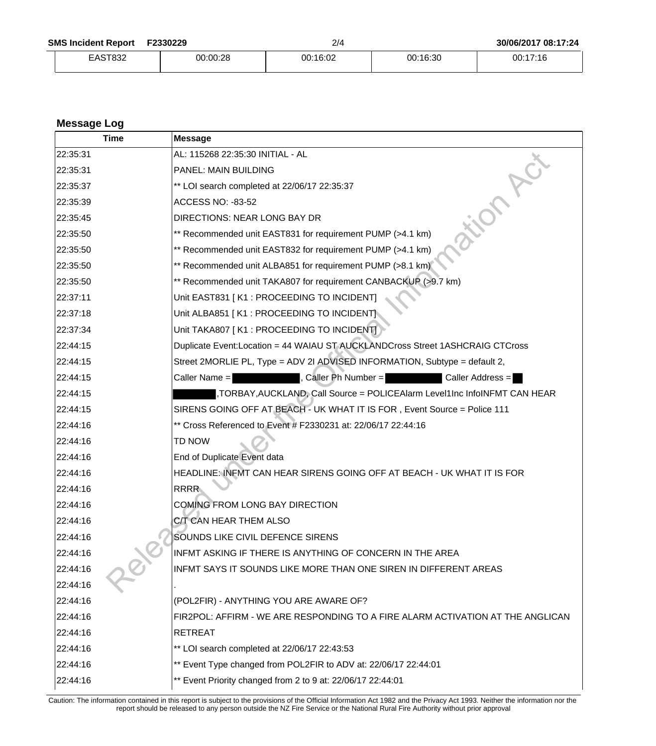| <b>SMS Incident Report</b> | F2330229 |
|----------------------------|----------|
|----------------------------|----------|

EAST832 00:00:28 00:16:02 00:16:30 00:17:16

| <b>Message Log</b> |                                                                                     |  |  |
|--------------------|-------------------------------------------------------------------------------------|--|--|
| Time               | <b>Message</b>                                                                      |  |  |
| 22:35:31           | AL: 115268 22:35:30 INITIAL - AL                                                    |  |  |
| 22:35:31           | PANEL: MAIN BUILDING                                                                |  |  |
| 22:35:37           | ** LOI search completed at 22/06/17 22:35:37                                        |  |  |
| 22:35:39           | <b>ACCESS NO: -83-52</b>                                                            |  |  |
| 22:35:45           | <b>DIRECTIONS: NEAR LONG BAY DR</b>                                                 |  |  |
| 22:35:50           | ** Recommended unit EAST831 for requirement PUMP (>4.1 km)                          |  |  |
| 22:35:50           | ** Recommended unit EAST832 for requirement PUMP (>4.1 km)                          |  |  |
| 22:35:50           | ** Recommended unit ALBA851 for requirement PUMP (>8.1 km)                          |  |  |
| 22:35:50           | ** Recommended unit TAKA807 for requirement CANBACKUP (>9.7 km)                     |  |  |
| 22:37:11           | Unit EAST831 [K1 : PROCEEDING TO INCIDENT]                                          |  |  |
| 22:37:18           | Unit ALBA851 [K1 : PROCEEDING TO INCIDENT]                                          |  |  |
| 22:37:34           | Unit TAKA807   K1 : PROCEEDING TO INCIDENT                                          |  |  |
| 22:44:15           | Duplicate Event:Location = 44 WAIAU ST AUCKLANDCross Street 1ASHCRAIG CTCross       |  |  |
| 22:44:15           | Street 2MORLIE PL, Type = ADV 2I ADVISED INFORMATION, Subtype = default 2,          |  |  |
| 22:44:15           | , Caller Ph Number =<br>Caller Name =<br>Caller Address =                           |  |  |
| 22:44:15           | ,TORBAY,AUCKLAND, Call Source = POLICEAlarm            Level1Inc InfoINFMT CAN HEAR |  |  |
| 22:44:15           | SIRENS GOING OFF AT BEACH - UK WHAT IT IS FOR, Event Source = Police 111            |  |  |
| 22:44:16           | ** Cross Referenced to Event # F2330231 at: 22/06/17 22:44:16                       |  |  |
| 22:44:16           | TD NOW                                                                              |  |  |
| 22:44:16           | End of Duplicate Event data                                                         |  |  |
| 22:44:16           | HEADLINE: INFMT CAN HEAR SIRENS GOING OFF AT BEACH - UK WHAT IT IS FOR              |  |  |
| 22:44:16           | <b>RRRR</b>                                                                         |  |  |
| 22:44:16           | COMING FROM LONG BAY DIRECTION                                                      |  |  |
| 22:44:16           | C/T CAN HEAR THEM ALSO                                                              |  |  |
| 22:44:16           | SOUNDS LIKE CIVIL DEFENCE SIRENS                                                    |  |  |
| 22:44:16           | INFMT ASKING IF THERE IS ANYTHING OF CONCERN IN THE AREA                            |  |  |
| 22:44:16           | INFMT SAYS IT SOUNDS LIKE MORE THAN ONE SIREN IN DIFFERENT AREAS                    |  |  |
| 22:44:16           |                                                                                     |  |  |
| 22:44:16           | (POL2FIR) - ANYTHING YOU ARE AWARE OF?                                              |  |  |
| 22:44:16           | FIR2POL: AFFIRM - WE ARE RESPONDING TO A FIRE ALARM ACTIVATION AT THE ANGLICAN      |  |  |
| 22:44:16           | <b>RETREAT</b>                                                                      |  |  |
| 22:44:16           | ** LOI search completed at 22/06/17 22:43:53                                        |  |  |
| 22:44:16           | ** Event Type changed from POL2FIR to ADV at: 22/06/17 22:44:01                     |  |  |
| 22:44:16           | ** Event Priority changed from 2 to 9 at: 22/06/17 22:44:01                         |  |  |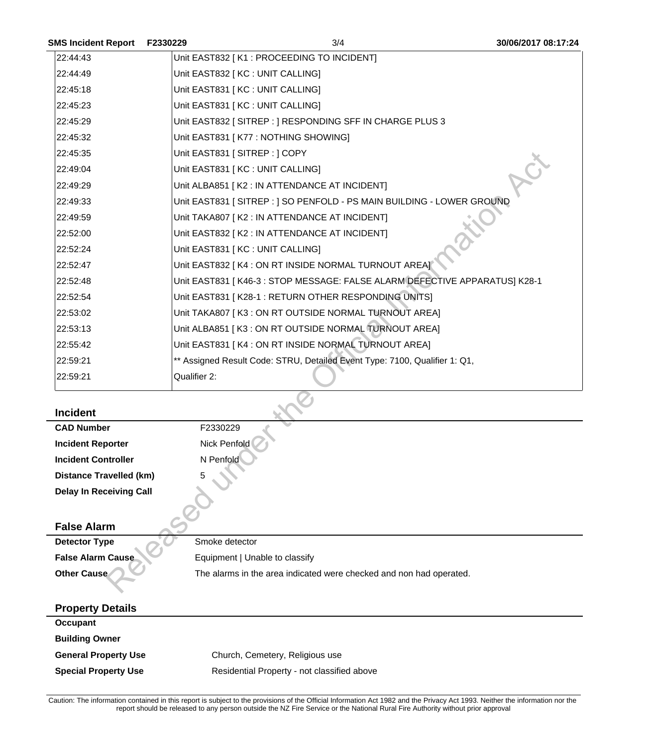| <b>SMS Incident Report</b>     | F2330229                          | 3/4                                                                        | 30/06/2017 08:17:24 |
|--------------------------------|-----------------------------------|----------------------------------------------------------------------------|---------------------|
| 22:44:43                       |                                   | Unit EAST832 [K1 : PROCEEDING TO INCIDENT]                                 |                     |
| 22:44:49                       | Unit EAST832 [ KC : UNIT CALLING] |                                                                            |                     |
| 22:45:18                       | Unit EAST831 [ KC : UNIT CALLING] |                                                                            |                     |
| 22:45:23                       | Unit EAST831 [ KC : UNIT CALLING] |                                                                            |                     |
| 22:45:29                       |                                   | Unit EAST832 [SITREP : ] RESPONDING SFF IN CHARGE PLUS 3                   |                     |
| 22:45:32                       |                                   | Unit EAST831 [ K77 : NOTHING SHOWING]                                      |                     |
| 22:45:35                       | Unit EAST831 [SITREP: ] COPY      |                                                                            |                     |
| 22:49:04                       | Unit EAST831 [ KC : UNIT CALLING] |                                                                            |                     |
| 22:49:29                       |                                   | Unit ALBA851 [K2 : IN ATTENDANCE AT INCIDENT]                              |                     |
| 22:49:33                       |                                   | Unit EAST831 [ SITREP : ] SO PENFOLD - PS MAIN BUILDING - LOWER GROUND     |                     |
| 22:49:59                       |                                   | Unit TAKA807 [K2 : IN ATTENDANCE AT INCIDENT]                              |                     |
| 22:52:00                       |                                   | Unit EAST832 [ K2 : IN ATTENDANCE AT INCIDENT]                             |                     |
| 22:52:24                       | Unit EAST831 [ KC : UNIT CALLING] |                                                                            |                     |
| 22:52:47                       |                                   | Unit EAST832 [ K4 : ON RT INSIDE NORMAL TURNOUT AREA]                      |                     |
| 22:52:48                       |                                   | Unit EAST831 [K46-3 : STOP MESSAGE: FALSE ALARM DEFECTIVE APPARATUS] K28-1 |                     |
| 22:52:54                       |                                   | Unit EAST831 [K28-1: RETURN OTHER RESPONDING UNITS]                        |                     |
| 22:53:02                       |                                   | Unit TAKA807 [K3 : ON RT OUTSIDE NORMAL TURNOUT AREA]                      |                     |
| 22:53:13                       |                                   | Unit ALBA851 [K3 : ON RT OUTSIDE NORMAL TURNOUT AREA]                      |                     |
| 22:55:42                       |                                   | Unit EAST831 [K4 : ON RT INSIDE NORMAL TURNOUT AREA]                       |                     |
| 22:59:21                       |                                   | ** Assigned Result Code: STRU, Detailed Event Type: 7100, Qualifier 1: Q1, |                     |
| 22:59:21                       | Qualifier 2:                      |                                                                            |                     |
| <b>Incident</b>                |                                   |                                                                            |                     |
| <b>CAD Number</b>              | F2330229                          |                                                                            |                     |
| <b>Incident Reporter</b>       | Nick Penfold                      |                                                                            |                     |
| <b>Incident Controller</b>     | N Penfold                         |                                                                            |                     |
| <b>Distance Travelled (km)</b> | 5                                 |                                                                            |                     |
| <b>Delay In Receiving Call</b> |                                   |                                                                            |                     |
|                                |                                   |                                                                            |                     |
| <b>False Alarm</b>             |                                   |                                                                            |                     |
| <b>Detector Type</b>           | Smoke detector                    |                                                                            |                     |
| <b>False Alarm Cause</b>       |                                   | Equipment   Unable to classify                                             |                     |
| Other Cause                    |                                   | The alarms in the area indicated were checked and non had operated.        |                     |
|                                |                                   |                                                                            |                     |

#### **Incident**

| <b>CAD Number</b>              | F2330229       |
|--------------------------------|----------------|
| <b>Incident Reporter</b>       | Nick Penfold   |
| <b>Incident Controller</b>     | N Penfold      |
| <b>Distance Travelled (km)</b> | 5              |
| <b>Delay In Receiving Call</b> |                |
| <b>False Alarm</b>             |                |
| <b>Detector Type</b>           | Smoke detector |
| $-1$ $-1$ $-$                  | _              |

### **Property Details**

| 1.1                         |                                             |
|-----------------------------|---------------------------------------------|
| Occupant                    |                                             |
| <b>Building Owner</b>       |                                             |
| <b>General Property Use</b> | Church, Cemetery, Religious use             |
| <b>Special Property Use</b> | Residential Property - not classified above |